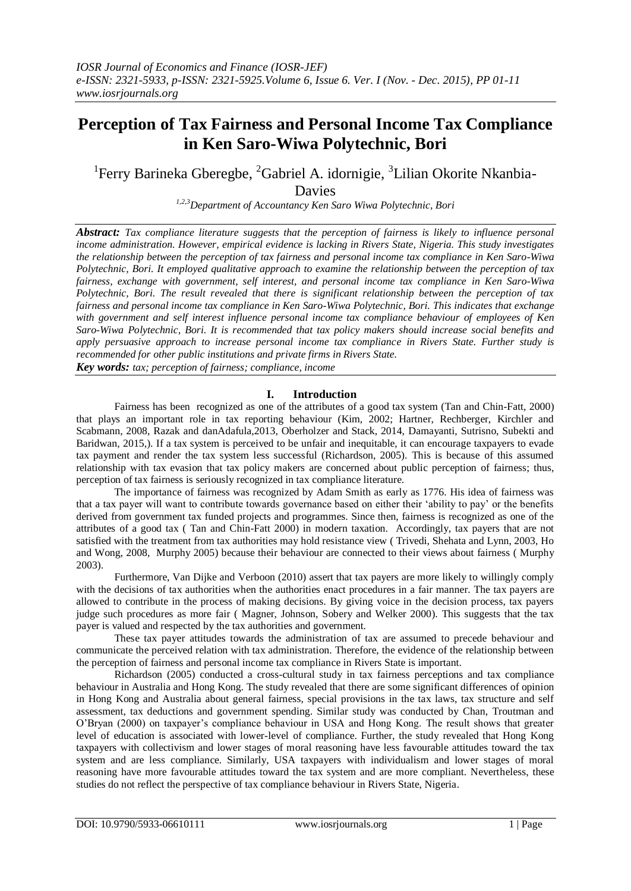# **Perception of Tax Fairness and Personal Income Tax Compliance in Ken Saro-Wiwa Polytechnic, Bori**

## <sup>1</sup>Ferry Barineka Gberegbe, <sup>2</sup>Gabriel A. idornigie, <sup>3</sup>Lilian Okorite Nkanbia-Davies

*1,2,3Department of Accountancy Ken Saro Wiwa Polytechnic, Bori*

*Abstract: Tax compliance literature suggests that the perception of fairness is likely to influence personal income administration. However, empirical evidence is lacking in Rivers State, Nigeria. This study investigates the relationship between the perception of tax fairness and personal income tax compliance in Ken Saro-Wiwa Polytechnic, Bori. It employed qualitative approach to examine the relationship between the perception of tax fairness, exchange with government, self interest, and personal income tax compliance in Ken Saro-Wiwa Polytechnic, Bori. The result revealed that there is significant relationship between the perception of tax fairness and personal income tax compliance in Ken Saro-Wiwa Polytechnic, Bori. This indicates that exchange with government and self interest influence personal income tax compliance behaviour of employees of Ken Saro-Wiwa Polytechnic, Bori. It is recommended that tax policy makers should increase social benefits and apply persuasive approach to increase personal income tax compliance in Rivers State. Further study is recommended for other public institutions and private firms in Rivers State.*

*Key words: tax; perception of fairness; compliance, income*

## **I. Introduction**

 Fairness has been recognized as one of the attributes of a good tax system (Tan and Chin-Fatt, 2000) that plays an important role in tax reporting behaviour (Kim, 2002; Hartner, Rechberger, Kirchler and Scabmann, 2008, Razak and danAdafula,2013, Oberholzer and Stack, 2014, Damayanti, Sutrisno, Subekti and Baridwan, 2015,). If a tax system is perceived to be unfair and inequitable, it can encourage taxpayers to evade tax payment and render the tax system less successful (Richardson, 2005). This is because of this assumed relationship with tax evasion that tax policy makers are concerned about public perception of fairness; thus, perception of tax fairness is seriously recognized in tax compliance literature.

 The importance of fairness was recognized by Adam Smith as early as 1776. His idea of fairness was that a tax payer will want to contribute towards governance based on either their 'ability to pay' or the benefits derived from government tax funded projects and programmes. Since then, fairness is recognized as one of the attributes of a good tax ( Tan and Chin-Fatt 2000) in modern taxation. Accordingly, tax payers that are not satisfied with the treatment from tax authorities may hold resistance view ( Trivedi, Shehata and Lynn, 2003, Ho and Wong, 2008, Murphy 2005) because their behaviour are connected to their views about fairness ( Murphy 2003).

 Furthermore, Van Dijke and Verboon (2010) assert that tax payers are more likely to willingly comply with the decisions of tax authorities when the authorities enact procedures in a fair manner. The tax payers are allowed to contribute in the process of making decisions. By giving voice in the decision process, tax payers judge such procedures as more fair ( Magner, Johnson, Sobery and Welker 2000). This suggests that the tax payer is valued and respected by the tax authorities and government.

 These tax payer attitudes towards the administration of tax are assumed to precede behaviour and communicate the perceived relation with tax administration. Therefore, the evidence of the relationship between the perception of fairness and personal income tax compliance in Rivers State is important.

 Richardson (2005) conducted a cross-cultural study in tax fairness perceptions and tax compliance behaviour in Australia and Hong Kong. The study revealed that there are some significant differences of opinion in Hong Kong and Australia about general fairness, special provisions in the tax laws, tax structure and self assessment, tax deductions and government spending. Similar study was conducted by Chan, Troutman and O'Bryan (2000) on taxpayer's compliance behaviour in USA and Hong Kong. The result shows that greater level of education is associated with lower-level of compliance. Further, the study revealed that Hong Kong taxpayers with collectivism and lower stages of moral reasoning have less favourable attitudes toward the tax system and are less compliance. Similarly, USA taxpayers with individualism and lower stages of moral reasoning have more favourable attitudes toward the tax system and are more compliant. Nevertheless, these studies do not reflect the perspective of tax compliance behaviour in Rivers State, Nigeria.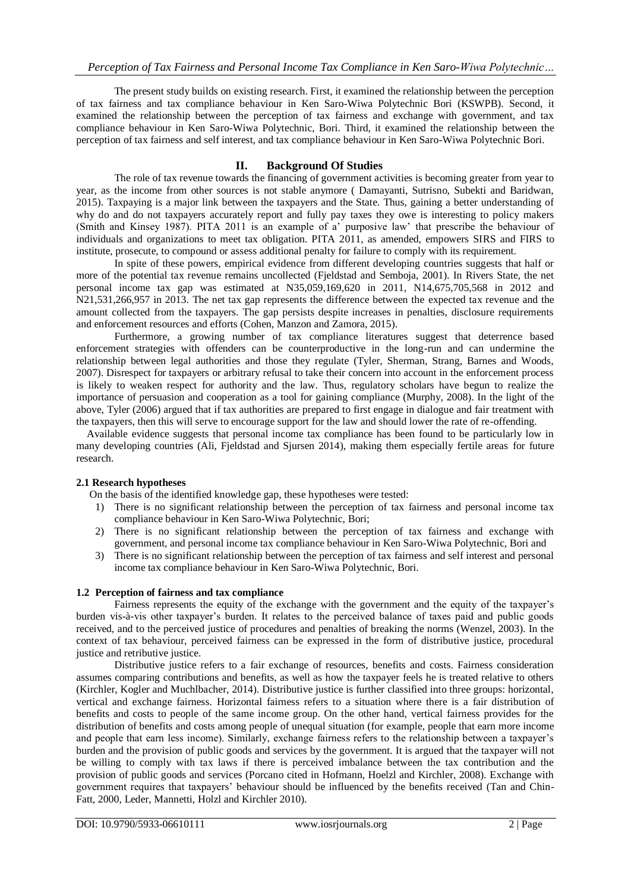The present study builds on existing research. First, it examined the relationship between the perception of tax fairness and tax compliance behaviour in Ken Saro-Wiwa Polytechnic Bori (KSWPB). Second, it examined the relationship between the perception of tax fairness and exchange with government, and tax compliance behaviour in Ken Saro-Wiwa Polytechnic, Bori. Third, it examined the relationship between the perception of tax fairness and self interest, and tax compliance behaviour in Ken Saro-Wiwa Polytechnic Bori.

## **II. Background Of Studies**

 The role of tax revenue towards the financing of government activities is becoming greater from year to year, as the income from other sources is not stable anymore ( Damayanti, Sutrisno, Subekti and Baridwan, 2015). Taxpaying is a major link between the taxpayers and the State. Thus, gaining a better understanding of why do and do not taxpayers accurately report and fully pay taxes they owe is interesting to policy makers (Smith and Kinsey 1987). PITA 2011 is an example of a' purposive law' that prescribe the behaviour of individuals and organizations to meet tax obligation. PITA 2011, as amended, empowers SIRS and FIRS to institute, prosecute, to compound or assess additional penalty for failure to comply with its requirement.

In spite of these powers, empirical evidence from different developing countries suggests that half or more of the potential tax revenue remains uncollected (Fjeldstad and Semboja, 2001). In Rivers State, the net personal income tax gap was estimated at N35,059,169,620 in 2011, N14,675,705,568 in 2012 and N21,531,266,957 in 2013. The net tax gap represents the difference between the expected tax revenue and the amount collected from the taxpayers. The gap persists despite increases in penalties, disclosure requirements and enforcement resources and efforts (Cohen, Manzon and Zamora, 2015).

 Furthermore, a growing number of tax compliance literatures suggest that deterrence based enforcement strategies with offenders can be counterproductive in the long-run and can undermine the relationship between legal authorities and those they regulate (Tyler, Sherman, Strang, Barnes and Woods, 2007). Disrespect for taxpayers or arbitrary refusal to take their concern into account in the enforcement process is likely to weaken respect for authority and the law. Thus, regulatory scholars have begun to realize the importance of persuasion and cooperation as a tool for gaining compliance (Murphy, 2008). In the light of the above, Tyler (2006) argued that if tax authorities are prepared to first engage in dialogue and fair treatment with the taxpayers, then this will serve to encourage support for the law and should lower the rate of re-offending.

 Available evidence suggests that personal income tax compliance has been found to be particularly low in many developing countries (Ali, Fjeldstad and Sjursen 2014), making them especially fertile areas for future research.

## **2.1 Research hypotheses**

- On the basis of the identified knowledge gap, these hypotheses were tested:
	- 1) There is no significant relationship between the perception of tax fairness and personal income tax compliance behaviour in Ken Saro-Wiwa Polytechnic, Bori;
- 2) There is no significant relationship between the perception of tax fairness and exchange with government, and personal income tax compliance behaviour in Ken Saro-Wiwa Polytechnic, Bori and
- 3) There is no significant relationship between the perception of tax fairness and self interest and personal income tax compliance behaviour in Ken Saro-Wiwa Polytechnic, Bori.

## **1.2 Perception of fairness and tax compliance**

 Fairness represents the equity of the exchange with the government and the equity of the taxpayer's burden vis-à-vis other taxpayer's burden. It relates to the perceived balance of taxes paid and public goods received, and to the perceived justice of procedures and penalties of breaking the norms (Wenzel, 2003). In the context of tax behaviour, perceived fairness can be expressed in the form of distributive justice, procedural justice and retributive justice.

 Distributive justice refers to a fair exchange of resources, benefits and costs. Fairness consideration assumes comparing contributions and benefits, as well as how the taxpayer feels he is treated relative to others (Kirchler, Kogler and Muchlbacher, 2014). Distributive justice is further classified into three groups: horizontal, vertical and exchange fairness. Horizontal fairness refers to a situation where there is a fair distribution of benefits and costs to people of the same income group. On the other hand, vertical fairness provides for the distribution of benefits and costs among people of unequal situation (for example, people that earn more income and people that earn less income). Similarly, exchange fairness refers to the relationship between a taxpayer's burden and the provision of public goods and services by the government. It is argued that the taxpayer will not be willing to comply with tax laws if there is perceived imbalance between the tax contribution and the provision of public goods and services (Porcano cited in Hofmann, Hoelzl and Kirchler, 2008). Exchange with government requires that taxpayers' behaviour should be influenced by the benefits received (Tan and Chin-Fatt, 2000, Leder, Mannetti, Holzl and Kirchler 2010).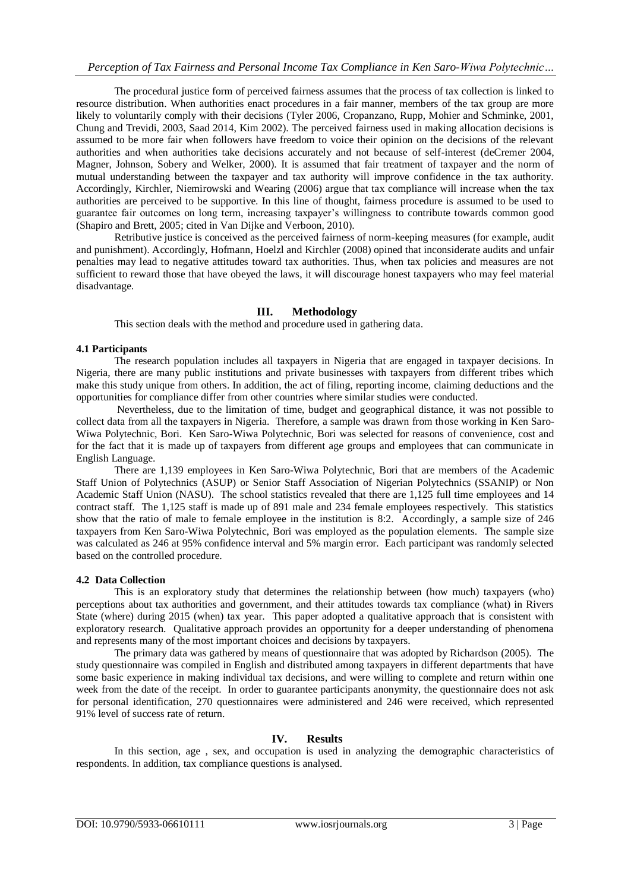The procedural justice form of perceived fairness assumes that the process of tax collection is linked to resource distribution. When authorities enact procedures in a fair manner, members of the tax group are more likely to voluntarily comply with their decisions (Tyler 2006, Cropanzano, Rupp, Mohier and Schminke, 2001, Chung and Trevidi, 2003, Saad 2014, Kim 2002). The perceived fairness used in making allocation decisions is assumed to be more fair when followers have freedom to voice their opinion on the decisions of the relevant authorities and when authorities take decisions accurately and not because of self-interest (deCremer 2004, Magner, Johnson, Sobery and Welker, 2000). It is assumed that fair treatment of taxpayer and the norm of mutual understanding between the taxpayer and tax authority will improve confidence in the tax authority. Accordingly, Kirchler, Niemirowski and Wearing (2006) argue that tax compliance will increase when the tax authorities are perceived to be supportive. In this line of thought, fairness procedure is assumed to be used to guarantee fair outcomes on long term, increasing taxpayer's willingness to contribute towards common good (Shapiro and Brett, 2005; cited in Van Dijke and Verboon, 2010).

 Retributive justice is conceived as the perceived fairness of norm-keeping measures (for example, audit and punishment). Accordingly, Hofmann, Hoelzl and Kirchler (2008) opined that inconsiderate audits and unfair penalties may lead to negative attitudes toward tax authorities. Thus, when tax policies and measures are not sufficient to reward those that have obeyed the laws, it will discourage honest taxpayers who may feel material disadvantage.

## **III. Methodology**

This section deals with the method and procedure used in gathering data.

#### **4.1 Participants**

The research population includes all taxpayers in Nigeria that are engaged in taxpayer decisions. In Nigeria, there are many public institutions and private businesses with taxpayers from different tribes which make this study unique from others. In addition, the act of filing, reporting income, claiming deductions and the opportunities for compliance differ from other countries where similar studies were conducted.

 Nevertheless, due to the limitation of time, budget and geographical distance, it was not possible to collect data from all the taxpayers in Nigeria. Therefore, a sample was drawn from those working in Ken Saro-Wiwa Polytechnic, Bori. Ken Saro-Wiwa Polytechnic, Bori was selected for reasons of convenience, cost and for the fact that it is made up of taxpayers from different age groups and employees that can communicate in English Language.

 There are 1,139 employees in Ken Saro-Wiwa Polytechnic, Bori that are members of the Academic Staff Union of Polytechnics (ASUP) or Senior Staff Association of Nigerian Polytechnics (SSANIP) or Non Academic Staff Union (NASU). The school statistics revealed that there are 1,125 full time employees and 14 contract staff. The 1,125 staff is made up of 891 male and 234 female employees respectively. This statistics show that the ratio of male to female employee in the institution is 8:2. Accordingly, a sample size of 246 taxpayers from Ken Saro-Wiwa Polytechnic, Bori was employed as the population elements. The sample size was calculated as 246 at 95% confidence interval and 5% margin error. Each participant was randomly selected based on the controlled procedure.

#### **4.2 Data Collection**

 This is an exploratory study that determines the relationship between (how much) taxpayers (who) perceptions about tax authorities and government, and their attitudes towards tax compliance (what) in Rivers State (where) during 2015 (when) tax year. This paper adopted a qualitative approach that is consistent with exploratory research. Qualitative approach provides an opportunity for a deeper understanding of phenomena and represents many of the most important choices and decisions by taxpayers.

 The primary data was gathered by means of questionnaire that was adopted by Richardson (2005). The study questionnaire was compiled in English and distributed among taxpayers in different departments that have some basic experience in making individual tax decisions, and were willing to complete and return within one week from the date of the receipt. In order to guarantee participants anonymity, the questionnaire does not ask for personal identification, 270 questionnaires were administered and 246 were received, which represented 91% level of success rate of return.

## **IV. Results**

 In this section, age , sex, and occupation is used in analyzing the demographic characteristics of respondents. In addition, tax compliance questions is analysed.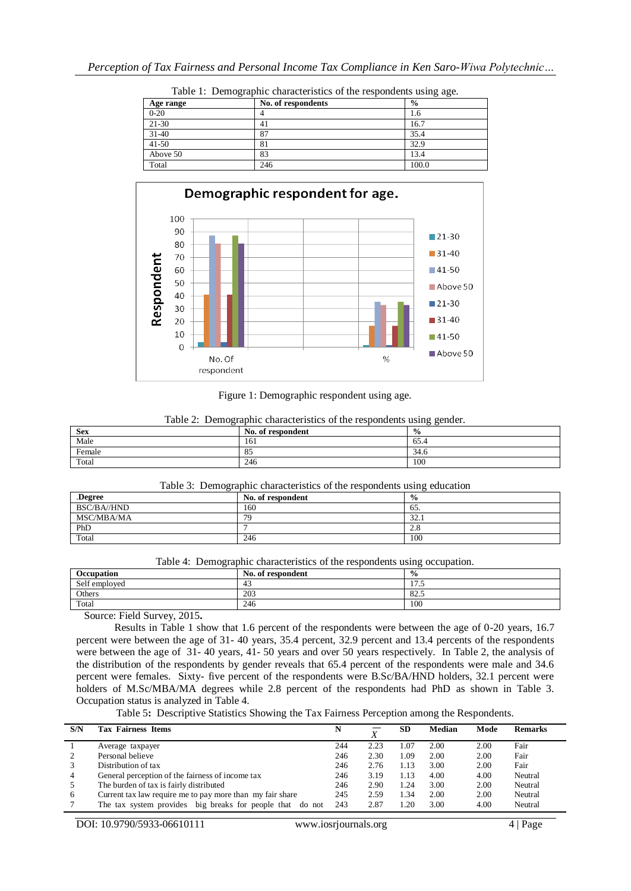| ັ         |                    | ັັ            |
|-----------|--------------------|---------------|
| Age range | No. of respondents | $\frac{6}{9}$ |
| $0 - 20$  |                    | 1.6           |
| 21-30     | 41                 | 16.7          |
| $31-40$   | 87                 | 35.4          |
| $41 - 50$ | 81                 | 32.9          |
| Above 50  | 83                 | 13.4          |
| Total     | 246                | 100.0         |





Figure 1: Demographic respondent using age.

| TWOTE IT IS SILLOWING WITH SILVERWISHING OF NIE TEAD OILWEING WAILING WELFULL |                   |               |  |  |  |
|-------------------------------------------------------------------------------|-------------------|---------------|--|--|--|
| <b>Sex</b>                                                                    | No. of respondent | $\frac{6}{9}$ |  |  |  |
| Male                                                                          | 161               | 65.4          |  |  |  |
| Female                                                                        | 85                | 34.6          |  |  |  |
| Total                                                                         | 246               | 100           |  |  |  |

Table 2: Demographic characteristics of the respondents using gender.

#### Table 3: Demographic characteristics of the respondents using education

| Degree.           | No. of respondent | $\frac{0}{0}$ |
|-------------------|-------------------|---------------|
| BSC/BA//HND       | 160               | 65.           |
| <b>MSC/MBA/MA</b> | 79                | 32.1          |
| PhD               |                   | 2.8           |
| Total             | 246               | 100           |

|  | Table 4: Demographic characteristics of the respondents using occupation. |  |
|--|---------------------------------------------------------------------------|--|
|  |                                                                           |  |

| Occupation                             | No. of respondent | $\frac{0}{0}$                    |
|----------------------------------------|-------------------|----------------------------------|
| Self employed                          | -4.               | $\overline{\phantom{0}}$<br>11.J |
| Others                                 | 203               | 82.5                             |
| Total                                  | 246               | 100                              |
| $\sim$<br>----<br>$\sim$ $\sim$ $\sim$ |                   |                                  |

Source: Field Survey, 2015**.**

Results in Table 1 show that 1.6 percent of the respondents were between the age of 0-20 years, 16.7 percent were between the age of 31- 40 years, 35.4 percent, 32.9 percent and 13.4 percents of the respondents were between the age of 31- 40 years, 41- 50 years and over 50 years respectively. In Table 2, the analysis of the distribution of the respondents by gender reveals that 65.4 percent of the respondents were male and 34.6 percent were females. Sixty- five percent of the respondents were B.Sc/BA/HND holders, 32.1 percent were holders of M.Sc/MBA/MA degrees while 2.8 percent of the respondents had PhD as shown in Table 3. Occupation status is analyzed in Table 4.

Table 5**:** Descriptive Statistics Showing the Tax Fairness Perception among the Respondents.

| S/N | <b>Tax Fairness Items</b>                                 |     |      | <b>SD</b> | Median | Mode | <b>Remarks</b> |
|-----|-----------------------------------------------------------|-----|------|-----------|--------|------|----------------|
|     | Average taxpayer                                          | 244 | 2.23 | 1.07      | 2.00   | 2.00 | Fair           |
|     | Personal believe                                          | 246 | 2.30 | 1.09      | 2.00   | 2.00 | Fair           |
|     | Distribution of tax                                       | 246 | 2.76 | 1.13      | 3.00   | 2.00 | Fair           |
| 4   | General perception of the fairness of income tax          | 246 | 3.19 | 1.13      | 4.00   | 4.00 | Neutral        |
|     | The burden of tax is fairly distributed                   | 246 | 2.90 | 1.24      | 3.00   | 2.00 | Neutral        |
| -6  | Current tax law require me to pay more than my fair share | 245 | 2.59 | .34       | 2.00   | 2.00 | Neutral        |
|     | The tax system provides big breaks for people that do not | 243 | 2.87 | .20       | 3.00   | 4.00 | Neutral        |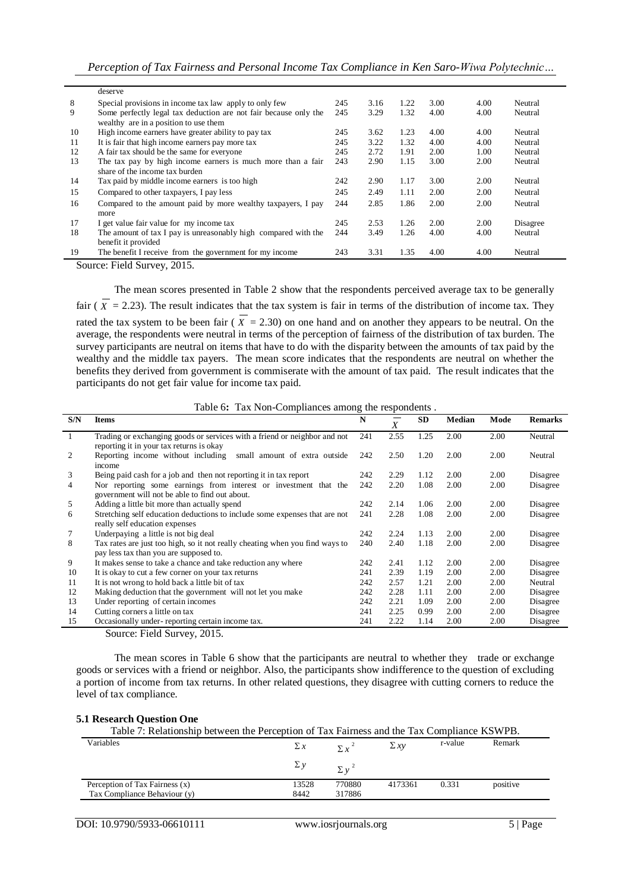|    | deserve                                                          |     |      |      |      |      |          |
|----|------------------------------------------------------------------|-----|------|------|------|------|----------|
| 8  | Special provisions in income tax law apply to only few           | 245 | 3.16 | 1.22 | 3.00 | 4.00 | Neutral  |
| 9  | Some perfectly legal tax deduction are not fair because only the | 245 | 3.29 | 1.32 | 4.00 | 4.00 | Neutral  |
|    | wealthy are in a position to use them                            |     |      |      |      |      |          |
| 10 | High income earners have greater ability to pay tax              | 245 | 3.62 | 1.23 | 4.00 | 4.00 | Neutral  |
| 11 | It is fair that high income earners pay more tax                 | 245 | 3.22 | 1.32 | 4.00 | 4.00 | Neutral  |
| 12 | A fair tax should be the same for everyone                       | 245 | 2.72 | 1.91 | 2.00 | 1.00 | Neutral  |
| 13 | The tax pay by high income earners is much more than a fair      | 243 | 2.90 | 1.15 | 3.00 | 2.00 | Neutral  |
|    | share of the income tax burden                                   |     |      |      |      |      |          |
| 14 | Tax paid by middle income earners is too high                    | 242 | 2.90 | 1.17 | 3.00 | 2.00 | Neutral  |
| 15 | Compared to other taxpayers, I pay less                          | 245 | 2.49 | 1.11 | 2.00 | 2.00 | Neutral  |
| 16 | Compared to the amount paid by more wealthy taxpayers, I pay     | 244 | 2.85 | 1.86 | 2.00 | 2.00 | Neutral  |
|    | more                                                             |     |      |      |      |      |          |
| 17 | I get value fair value for my income tax                         | 245 | 2.53 | 1.26 | 2.00 | 2.00 | Disagree |
| 18 | The amount of tax I pay is unreasonably high compared with the   | 244 | 3.49 | 1.26 | 4.00 | 4.00 | Neutral  |
|    | benefit it provided                                              |     |      |      |      |      |          |
| 19 | The benefit I receive from the government for my income          | 243 | 3.31 | 1.35 | 4.00 | 4.00 | Neutral  |

Source: Field Survey, 2015.

The mean scores presented in Table 2 show that the respondents perceived average tax to be generally fair  $(X = 2.23)$ . The result indicates that the tax system is fair in terms of the distribution of income tax. They rated the tax system to be been fair ( $X = 2.30$ ) on one hand and on another they appears to be neutral. On the average, the respondents were neutral in terms of the perception of fairness of the distribution of tax burden. The survey participants are neutral on items that have to do with the disparity between the amounts of tax paid by the wealthy and the middle tax payers. The mean score indicates that the respondents are neutral on whether the benefits they derived from government is commiserate with the amount of tax paid. The result indicates that the participants do not get fair value for income tax paid.

Table 6**:** Tax Non-Compliances among the respondents .

| S/N | <b>Items</b>                                                                                                           | N   | $\overline{X}$ | <b>SD</b> | <b>Median</b> | Mode | <b>Remarks</b> |
|-----|------------------------------------------------------------------------------------------------------------------------|-----|----------------|-----------|---------------|------|----------------|
|     | Trading or exchanging goods or services with a friend or neighbor and not<br>reporting it in your tax returns is okay  | 241 | 2.55           | 1.25      | 2.00          | 2.00 | Neutral        |
| 2   | Reporting income without including<br>small amount of extra outside<br>income                                          | 242 | 2.50           | 1.20      | 2.00          | 2.00 | Neutral        |
| 3   | Being paid cash for a job and then not reporting it in tax report                                                      | 242 | 2.29           | 1.12      | 2.00          | 2.00 | Disagree       |
| 4   | Nor reporting some earnings from interest or investment that the<br>government will not be able to find out about.     | 242 | 2.20           | 1.08      | 2.00          | 2.00 | Disagree       |
| 5   | Adding a little bit more than actually spend                                                                           | 242 | 2.14           | 1.06      | 2.00          | 2.00 | Disagree       |
| 6   | Stretching self education deductions to include some expenses that are not<br>really self education expenses           | 241 | 2.28           | 1.08      | 2.00          | 2.00 | Disagree       |
|     | Underpaying a little is not big deal                                                                                   | 242 | 2.24           | 1.13      | 2.00          | 2.00 | Disagree       |
| 8   | Tax rates are just too high, so it not really cheating when you find ways to<br>pay less tax than you are supposed to. | 240 | 2.40           | 1.18      | 2.00          | 2.00 | Disagree       |
| 9   | It makes sense to take a chance and take reduction any where                                                           | 242 | 2.41           | 1.12      | 2.00          | 2.00 | Disagree       |
| 10  | It is okay to cut a few corner on your tax returns                                                                     | 241 | 2.39           | 1.19      | 2.00          | 2.00 | Disagree       |
| 11  | It is not wrong to hold back a little bit of tax                                                                       | 242 | 2.57           | 1.21      | 2.00          | 2.00 | Neutral        |
| 12  | Making deduction that the government will not let you make                                                             | 242 | 2.28           | 1.11      | 2.00          | 2.00 | Disagree       |
| 13  | Under reporting of certain incomes                                                                                     | 242 | 2.21           | 1.09      | 2.00          | 2.00 | Disagree       |
| 14  | Cutting corners a little on tax                                                                                        | 241 | 2.25           | 0.99      | 2.00          | 2.00 | Disagree       |
| 15  | Occasionally under-reporting certain income tax.                                                                       | 241 | 2.22           | 1.14      | 2.00          | 2.00 | Disagree       |

Source: Field Survey, 2015.

The mean scores in Table 6 show that the participants are neutral to whether they trade or exchange goods or services with a friend or neighbor. Also, the participants show indifference to the question of excluding a portion of income from tax returns. In other related questions, they disagree with cutting corners to reduce the level of tax compliance.

#### **5.1 Research Question One**

| Table 7: Relationship between the Perception of Tax Fairness and the Tax Compliance KSWPB. |            |              |           |         |          |
|--------------------------------------------------------------------------------------------|------------|--------------|-----------|---------|----------|
| Variables                                                                                  | $\Sigma x$ | $\Sigma x^2$ | $\sum xy$ | r-value | Remark   |
|                                                                                            | $\sum y$   | $\Sigma v^2$ |           |         |          |
| Perception of Tax Fairness (x)                                                             | 13528      | 770880       | 4173361   | 0.331   | positive |
| Tax Compliance Behaviour (y)                                                               | 8442       | 317886       |           |         |          |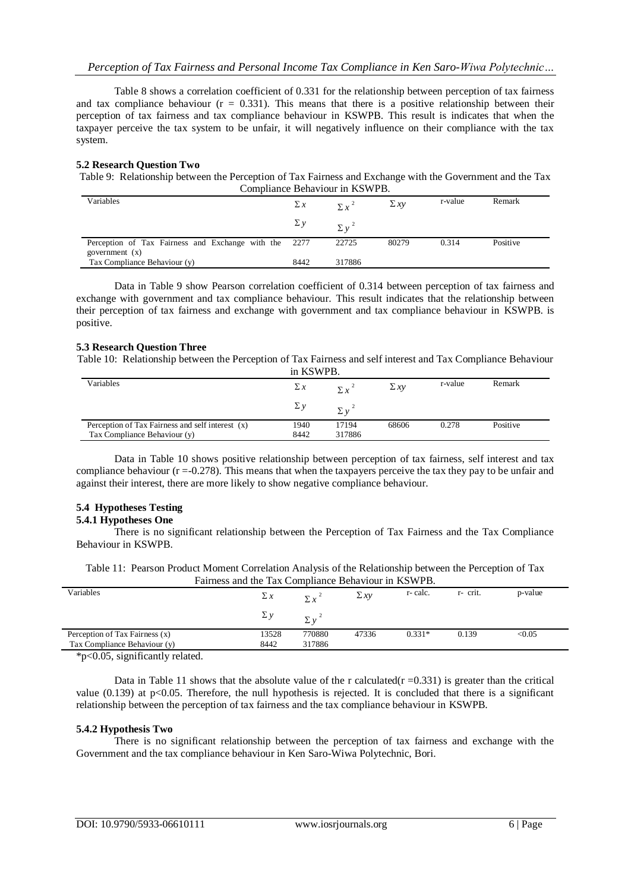Table 8 shows a correlation coefficient of 0.331 for the relationship between perception of tax fairness and tax compliance behaviour  $(r = 0.331)$ . This means that there is a positive relationship between their perception of tax fairness and tax compliance behaviour in KSWPB. This result is indicates that when the taxpayer perceive the tax system to be unfair, it will negatively influence on their compliance with the tax system.

## **5.2 Research Question Two**

Table 9: Relationship between the Perception of Tax Fairness and Exchange with the Government and the Tax Compliance Behaviour in KSWPB.

| Variables                                             | $\Sigma x$ | $\sum x^2$   | $\Sigma xy$ | r-value | Remark   |
|-------------------------------------------------------|------------|--------------|-------------|---------|----------|
|                                                       | $\Sigma y$ | $\Sigma v^2$ |             |         |          |
| Perception of Tax Fairness and Exchange with the 2277 |            | 22725        | 80279       | 0.314   | Positive |
| government $(x)$                                      |            |              |             |         |          |
| Tax Compliance Behaviour (y)                          | 8442       | 317886       |             |         |          |

Data in Table 9 show Pearson correlation coefficient of 0.314 between perception of tax fairness and exchange with government and tax compliance behaviour. This result indicates that the relationship between their perception of tax fairness and exchange with government and tax compliance behaviour in KSWPB. is positive.

#### **5.3 Research Question Three**

Table 10: Relationship between the Perception of Tax Fairness and self interest and Tax Compliance Behaviour  $i$ *izawi*n b

| III KSWPB.                                       |            |            |             |         |          |  |
|--------------------------------------------------|------------|------------|-------------|---------|----------|--|
| Variables                                        | $\Sigma x$ | $\Sigma x$ | $\Sigma xy$ | r-value | Remark   |  |
|                                                  | $\Sigma y$ | Σν         |             |         |          |  |
| Perception of Tax Fairness and self interest (x) | 1940       | 17194      | 68606       | 0.278   | Positive |  |
| Tax Compliance Behaviour (y)                     | 8442       | 317886     |             |         |          |  |
|                                                  |            |            |             |         |          |  |

Data in Table 10 shows positive relationship between perception of tax fairness, self interest and tax compliance behaviour (r =-0.278). This means that when the taxpayers perceive the tax they pay to be unfair and against their interest, there are more likely to show negative compliance behaviour.

## **5.4 Hypotheses Testing**

#### **5.4.1 Hypotheses One**

 There is no significant relationship between the Perception of Tax Fairness and the Tax Compliance Behaviour in KSWPB.

| Table 11: Pearson Product Moment Correlation Analysis of the Relationship between the Perception of Tax |  |
|---------------------------------------------------------------------------------------------------------|--|
| Fairness and the Tax Compliance Behaviour in KSWPB.                                                     |  |

| Variables                      | $\Sigma x$ | $\Sigma x$       | $\Sigma xy$ | r-calc.  | r- crit. | p-value |
|--------------------------------|------------|------------------|-------------|----------|----------|---------|
|                                | $\Sigma y$ | $\sum_{i=1}^{n}$ |             |          |          |         |
| Perception of Tax Fairness (x) | 13528      | 770880           | 47336       | $0.331*$ | 0.139    | < 0.05  |
| Tax Compliance Behaviour (y)   | 8442       | 317886           |             |          |          |         |
| $*n0$ 05 cignificantly related |            |                  |             |          |          |         |

\*p<0.05, significantly related.

Data in Table 11 shows that the absolute value of the r calculated( $r = 0.331$ ) is greater than the critical value  $(0.139)$  at p<0.05. Therefore, the null hypothesis is rejected. It is concluded that there is a significant relationship between the perception of tax fairness and the tax compliance behaviour in KSWPB.

#### **5.4.2 Hypothesis Two**

There is no significant relationship between the perception of tax fairness and exchange with the Government and the tax compliance behaviour in Ken Saro-Wiwa Polytechnic, Bori.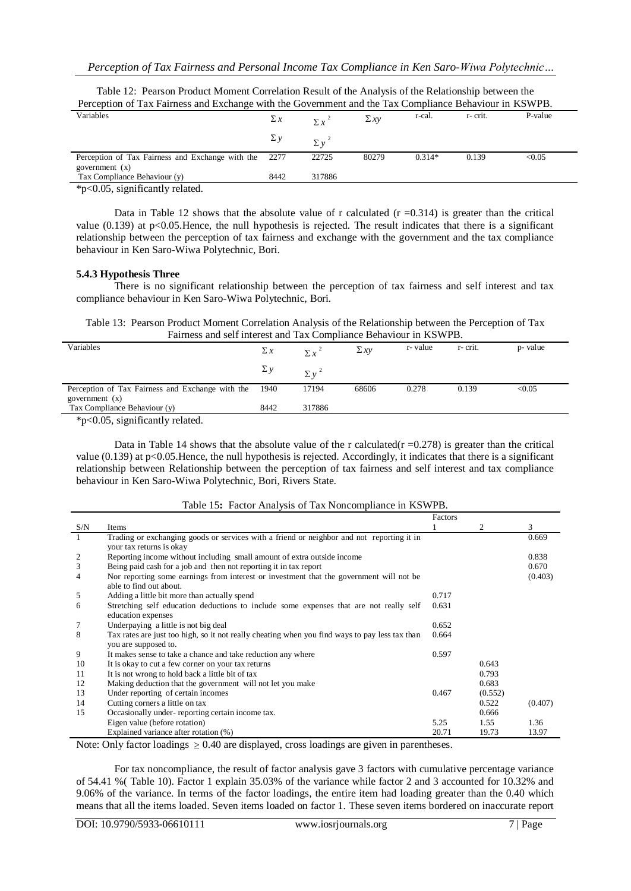| Perception of Tax Fairness and Exchange with the Government and the Tax Compliance Behaviour in KSWPB. |            |              |             |          |         |         |
|--------------------------------------------------------------------------------------------------------|------------|--------------|-------------|----------|---------|---------|
| Variables                                                                                              | $\Sigma x$ | $\Sigma x^2$ | $\Sigma xy$ | r-cal.   | r-crit. | P-value |
|                                                                                                        | $\sum y$   | $\Sigma v^2$ |             |          |         |         |
| Perception of Tax Fairness and Exchange with the<br>government $(x)$                                   | - 2277     | 22725        | 80279       | $0.314*$ | 0.139   | < 0.05  |
| Tax Compliance Behaviour (y)                                                                           | 8442       | 317886       |             |          |         |         |

Table 12: Pearson Product Moment Correlation Result of the Analysis of the Relationship between the

\*p<0.05, significantly related.

Data in Table 12 shows that the absolute value of r calculated  $(r = 0.314)$  is greater than the critical value  $(0.139)$  at p<0.05. Hence, the null hypothesis is rejected. The result indicates that there is a significant relationship between the perception of tax fairness and exchange with the government and the tax compliance behaviour in Ken Saro-Wiwa Polytechnic, Bori.

#### **5.4.3 Hypothesis Three**

There is no significant relationship between the perception of tax fairness and self interest and tax compliance behaviour in Ken Saro-Wiwa Polytechnic, Bori.

Table 13: Pearson Product Moment Correlation Analysis of the Relationship between the Perception of Tax Fairness and self interest and Tax Compliance Behaviour in KSWPB.

| Variables                                        | $\Sigma x$ | $\sum x^2$   | $\Sigma xy$ | r-value | r-crit. | p- value |
|--------------------------------------------------|------------|--------------|-------------|---------|---------|----------|
|                                                  | $\Sigma y$ | $\Sigma v^2$ |             |         |         |          |
| Perception of Tax Fairness and Exchange with the | 1940       | 17194        | 68606       | 0.278   | 0.139   | < 0.05   |
| government $(x)$                                 |            |              |             |         |         |          |
| Tax Compliance Behaviour (y)                     | 8442       | 317886       |             |         |         |          |
|                                                  |            |              |             |         |         |          |

\*p<0.05, significantly related.

Data in Table 14 shows that the absolute value of the r calculated( $r = 0.278$ ) is greater than the critical value (0.139) at p<0.05.Hence, the null hypothesis is rejected. Accordingly, it indicates that there is a significant relationship between Relationship between the perception of tax fairness and self interest and tax compliance behaviour in Ken Saro-Wiwa Polytechnic, Bori, Rivers State.

|     |                                                                                                | Factors |         |         |
|-----|------------------------------------------------------------------------------------------------|---------|---------|---------|
| S/N | Items                                                                                          |         | 2       | 3       |
|     | Trading or exchanging goods or services with a friend or neighbor and not reporting it in      |         |         | 0.669   |
|     | your tax returns is okay                                                                       |         |         |         |
| 2   | Reporting income without including small amount of extra outside income                        |         |         | 0.838   |
| 3   | Being paid cash for a job and then not reporting it in tax report                              |         |         | 0.670   |
| 4   | Nor reporting some earnings from interest or investment that the government will not be        |         |         | (0.403) |
|     | able to find out about.                                                                        |         |         |         |
| 5   | Adding a little bit more than actually spend                                                   | 0.717   |         |         |
| 6   | Stretching self education deductions to include some expenses that are not really self         | 0.631   |         |         |
|     | education expenses                                                                             |         |         |         |
|     | Underpaying a little is not big deal                                                           | 0.652   |         |         |
| 8   | Tax rates are just too high, so it not really cheating when you find ways to pay less tax than | 0.664   |         |         |
|     | you are supposed to.                                                                           |         |         |         |
| 9   | It makes sense to take a chance and take reduction any where                                   | 0.597   |         |         |
| 10  | It is okay to cut a few corner on your tax returns                                             |         | 0.643   |         |
| 11  | It is not wrong to hold back a little bit of tax                                               |         | 0.793   |         |
| 12  | Making deduction that the government will not let you make                                     |         | 0.683   |         |
| 13  | Under reporting of certain incomes                                                             | 0.467   | (0.552) |         |
| 14  | Cutting corners a little on tax                                                                |         | 0.522   | (0.407) |
| 15  | Occasionally under-reporting certain income tax.                                               |         | 0.666   |         |
|     | Eigen value (before rotation)                                                                  | 5.25    | 1.55    | 1.36    |
|     | Explained variance after rotation (%)                                                          | 20.71   | 19.73   | 13.97   |

#### Table 15**:** Factor Analysis of Tax Noncompliance in KSWPB.

Note: Only factor loadings  $\geq 0.40$  are displayed, cross loadings are given in parentheses.

For tax noncompliance, the result of factor analysis gave 3 factors with cumulative percentage variance of 54.41 %( Table 10). Factor 1 explain 35.03% of the variance while factor 2 and 3 accounted for 10.32% and 9.06% of the variance. In terms of the factor loadings, the entire item had loading greater than the 0.40 which means that all the items loaded. Seven items loaded on factor 1. These seven items bordered on inaccurate report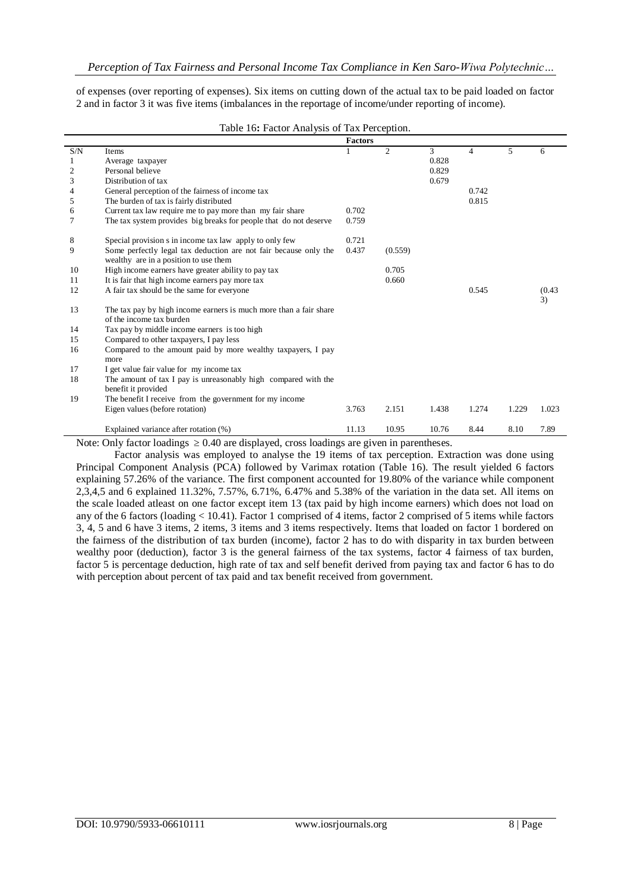of expenses (over reporting of expenses). Six items on cutting down of the actual tax to be paid loaded on factor 2 and in factor 3 it was five items (imbalances in the reportage of income/under reporting of income).

|                             |                                                                                                           | <b>Factors</b> |         |       |                |       |              |
|-----------------------------|-----------------------------------------------------------------------------------------------------------|----------------|---------|-------|----------------|-------|--------------|
| $\ensuremath{\mathrm{S/N}}$ | Items                                                                                                     |                | 2       | 3     | $\overline{4}$ | 5     | 6            |
| 1                           | Average taxpayer                                                                                          |                |         | 0.828 |                |       |              |
| $\mathfrak{2}$              | Personal believe                                                                                          |                |         | 0.829 |                |       |              |
| 3                           | Distribution of tax                                                                                       |                |         | 0.679 |                |       |              |
| 4                           | General perception of the fairness of income tax                                                          |                |         |       | 0.742          |       |              |
| 5                           | The burden of tax is fairly distributed                                                                   |                |         |       | 0.815          |       |              |
| 6                           | Current tax law require me to pay more than my fair share                                                 | 0.702          |         |       |                |       |              |
| 7                           | The tax system provides big breaks for people that do not deserve                                         | 0.759          |         |       |                |       |              |
| 8                           | Special provision s in income tax law apply to only few                                                   | 0.721          |         |       |                |       |              |
| 9                           | Some perfectly legal tax deduction are not fair because only the<br>wealthy are in a position to use them | 0.437          | (0.559) |       |                |       |              |
| 10                          | High income earners have greater ability to pay tax                                                       |                | 0.705   |       |                |       |              |
| 11                          | It is fair that high income earners pay more tax                                                          |                | 0.660   |       |                |       |              |
| 12                          | A fair tax should be the same for everyone                                                                |                |         |       | 0.545          |       | (0.43)<br>3) |
| 13                          | The tax pay by high income earners is much more than a fair share<br>of the income tax burden             |                |         |       |                |       |              |
| 14                          | Tax pay by middle income earners is too high                                                              |                |         |       |                |       |              |
| 15                          | Compared to other taxpayers, I pay less                                                                   |                |         |       |                |       |              |
| 16                          | Compared to the amount paid by more wealthy taxpayers, I pay<br>more                                      |                |         |       |                |       |              |
| 17                          | I get value fair value for my income tax                                                                  |                |         |       |                |       |              |
| 18                          | The amount of tax I pay is unreasonably high compared with the<br>benefit it provided                     |                |         |       |                |       |              |
| 19                          | The benefit I receive from the government for my income                                                   |                |         |       |                |       |              |
|                             | Eigen values (before rotation)                                                                            | 3.763          | 2.151   | 1.438 | 1.274          | 1.229 | 1.023        |
|                             | Explained variance after rotation (%)                                                                     | 11.13          | 10.95   | 10.76 | 8.44           | 8.10  | 7.89         |

#### Table 16**:** Factor Analysis of Tax Perception.

Note: Only factor loadings  $\geq 0.40$  are displayed, cross loadings are given in parentheses.

Factor analysis was employed to analyse the 19 items of tax perception. Extraction was done using Principal Component Analysis (PCA) followed by Varimax rotation (Table 16). The result yielded 6 factors explaining 57.26% of the variance. The first component accounted for 19.80% of the variance while component 2,3,4,5 and 6 explained 11.32%, 7.57%, 6.71%, 6.47% and 5.38% of the variation in the data set. All items on the scale loaded atleast on one factor except item 13 (tax paid by high income earners) which does not load on any of the 6 factors (loading < 10.41). Factor 1 comprised of 4 items, factor 2 comprised of 5 items while factors 3, 4, 5 and 6 have 3 items, 2 items, 3 items and 3 items respectively. Items that loaded on factor 1 bordered on the fairness of the distribution of tax burden (income), factor 2 has to do with disparity in tax burden between wealthy poor (deduction), factor 3 is the general fairness of the tax systems, factor 4 fairness of tax burden, factor 5 is percentage deduction, high rate of tax and self benefit derived from paying tax and factor 6 has to do with perception about percent of tax paid and tax benefit received from government.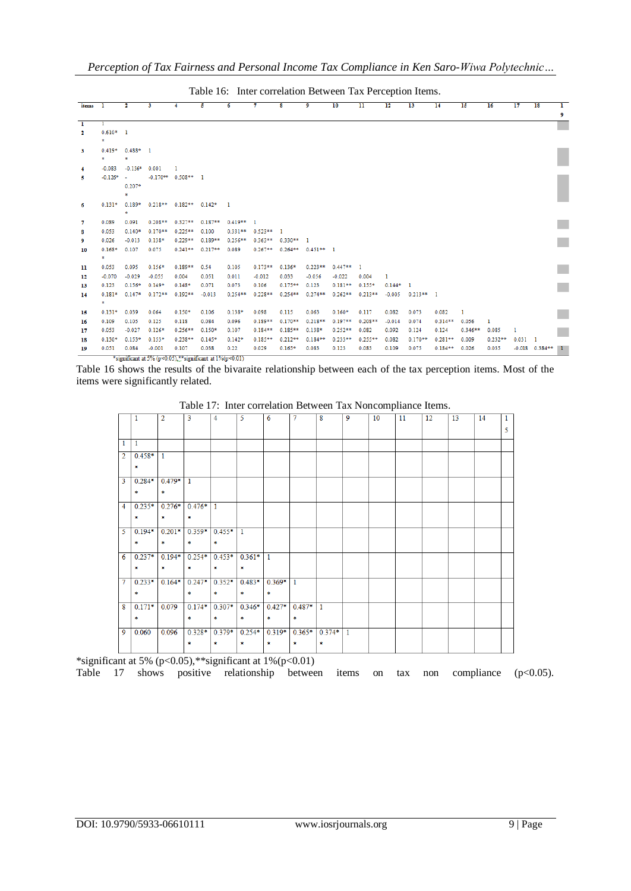Table 16: Inter correlation Between Tax Perception Items.

| items 1        |                       | $\mathbf{r}$            | $\overline{\mathbf{3}}$                                         | $\overline{4}$               | 5         | 6            | 7                     | 8                     | 9                     | 10          | $\overline{11}$ | 12         | 13          | 14        | $\overline{15}$ | 16        | $\overline{17}$ | $\overline{18}$    | T                           |
|----------------|-----------------------|-------------------------|-----------------------------------------------------------------|------------------------------|-----------|--------------|-----------------------|-----------------------|-----------------------|-------------|-----------------|------------|-------------|-----------|-----------------|-----------|-----------------|--------------------|-----------------------------|
|                |                       |                         |                                                                 |                              |           |              |                       |                       |                       |             |                 |            |             |           |                 |           |                 |                    | 9                           |
| $\overline{1}$ | 1.                    |                         |                                                                 |                              |           |              |                       |                       |                       |             |                 |            |             |           |                 |           |                 |                    |                             |
| -2             | $0.610*$ 1<br>*       |                         |                                                                 |                              |           |              |                       |                       |                       |             |                 |            |             |           |                 |           |                 |                    |                             |
| $\mathbf{3}$   | ٠.                    | $0.419* 0.488* 1$<br>×. |                                                                 |                              |           |              |                       |                       |                       |             |                 |            |             |           |                 |           |                 |                    |                             |
| 4              | $-0.083$              | $-0.136*$               | 0.001                                                           |                              |           |              |                       |                       |                       |             |                 |            |             |           |                 |           |                 |                    |                             |
| 5              | $-0.126*$             | $\sim$<br>$0.207*$<br>* |                                                                 | $-0.170**$ 0.508** 1         |           |              |                       |                       |                       |             |                 |            |             |           |                 |           |                 |                    |                             |
| 6              | $0.131*$              | $0.189*$<br>\$          |                                                                 | $0.218**$ $0.182**$ $0.142*$ |           | $\mathbf{1}$ |                       |                       |                       |             |                 |            |             |           |                 |           |                 |                    |                             |
| -7             | 0.089                 | 0.091                   | $0.208**$                                                       | $0.327**$                    | $0.187**$ | $0.419**$ 1  |                       |                       |                       |             |                 |            |             |           |                 |           |                 |                    | $\mathbb{R}^n$              |
| 8              | 0.053                 | $0.140*$                | $0.170**$                                                       | $0.225**$                    | 0.100     |              | $0.331**$ $0.523**$ 1 |                       |                       |             |                 |            |             |           |                 |           |                 |                    |                             |
| 9              | 0.026                 | $-0.013$                | $0.138*$                                                        | $0.229**$                    | $0.189**$ | $0.256**$    |                       | $0.363**$ $0.330**$ 1 |                       |             |                 |            |             |           |                 |           |                 |                    | $\mathbb{R}^n$              |
| 10             | $0.168*$<br>8.        | 0.107                   | 0.075                                                           | $0.241**$                    | $0.217**$ | 0.089        | $0.267**$             |                       | $0.264**$ $0.451**$ 1 |             |                 |            |             |           |                 |           |                 |                    |                             |
| 11             | 0.053                 | 0.095                   | $0.156*$                                                        | $0.189**$                    | 0.54      | 0.105        | $0.173**$             | $0.136*$              | $0.223**$             | $0.447**$ 1 |                 |            |             |           |                 |           |                 |                    | $\mathcal{L}_{\mathcal{A}}$ |
| 12             | $-0.070$              | $-0.029$                | $-0.055$                                                        | 0.004                        | 0.051     | 0.011        | $-0.012$              | 0.033                 | $-0.056$              | $-0.022$    | 0.004           | 1          |             |           |                 |           |                 |                    |                             |
| 13             | 0.123                 | $0.156*$                | $0.149*$                                                        | $0.148*$                     | 0.071     | 0.073        | 0.106                 | $0.175**$             | 0.123                 | $0.181**$   | $0.155*$        | $0.144*$ 1 |             |           |                 |           |                 |                    | $\mathcal{L}_{\mathcal{A}}$ |
| 14             | $0.181*$<br>$\bullet$ | $0.147*$                | $0.172**$                                                       | $0.192**$                    | $-0.013$  | $0.254**$    | $0.228**$             | $0.254**$             | $0.274**$             | $0.262**$   | $0.213**$       | $-0.005$   | $0.213**$ 1 |           |                 |           |                 |                    |                             |
| 15             | $0.131*$              | 0.039                   | 0.064                                                           | $0.150*$                     | 0.106     | $0.138*$     | 0.098                 | 0.115                 | 0.063                 | $0.160*$    | 0.117           | 0.082      | 0.073       | 0.082     | т               |           |                 |                    | $\mathbb{R}^n$              |
| 16             | 0.109                 | 0.105                   | 0.125                                                           | 0.118                        | 0.084     | 0.096        | $0.189**$             | $0.170**$             | $0.218**$             | $0.197**$   | $0.208**$       | $-0.014$   | 0.074       | $0.314**$ | 0.056           | 1         |                 |                    |                             |
| 17             | 0.053                 | $-0.027$                | $0.126*$                                                        | $0.256**$                    | $0.150*$  | 0.107        | $0.184**$             | $0.185**$             | $0.138*$              | $0.252**$   | 0.082           | 0.092      | 0.124       | 0.124     | $0.346**$       | 0.085     | 1               |                    | F                           |
| 18             | $0.130*$              | $0.153*$                | $0.153*$                                                        | $0.238**$                    | $0.145*$  | $0.142*$     | $0.185**$             | $0.212**$             | $0.184**$             | $0.233**$   | $0.255**$       | 0.082      | $0.170**$   | $0.281**$ | 0.009           | $0.232**$ | $0.031$ 1       |                    |                             |
| 19             | 0.051                 | 0.084                   | $-0.001$                                                        | 0.107                        | 0.038     | 0.22         | 0.029                 | $0.165*$              | 0.083                 | 0.123       | 0.083           | 0.109      | 0.075       | $0.184**$ | 0.026           | 0.035     |                 | $-0.018$ $0.384**$ | $\mathbf{1}$                |
|                |                       |                         | *significant at 5% ( $p<0.05$ ),**significant at 1%( $p<0.01$ ) |                              |           |              |                       |                       |                       |             |                 |            |             |           |                 |           |                 |                    |                             |

Table 16 shows the results of the bivaraite relationship between each of the tax perception items. Most of the items were significantly related.

| 1        | $\overline{2}$                                                           | 3                                | $\overline{4}$                                                         | 5                                                                                                  | 6                                                                           |                                         | 8                                                | $\overline{9}$         | 10           | 11 | 12 | 13 | 14 | 1 |
|----------|--------------------------------------------------------------------------|----------------------------------|------------------------------------------------------------------------|----------------------------------------------------------------------------------------------------|-----------------------------------------------------------------------------|-----------------------------------------|--------------------------------------------------|------------------------|--------------|----|----|----|----|---|
|          |                                                                          |                                  |                                                                        |                                                                                                    |                                                                             |                                         |                                                  |                        |              |    |    |    |    | 5 |
|          |                                                                          |                                  |                                                                        |                                                                                                    |                                                                             |                                         |                                                  |                        |              |    |    |    |    |   |
| 1        |                                                                          |                                  |                                                                        |                                                                                                    |                                                                             |                                         |                                                  |                        |              |    |    |    |    |   |
|          |                                                                          |                                  |                                                                        |                                                                                                    |                                                                             |                                         |                                                  |                        |              |    |    |    |    |   |
|          |                                                                          |                                  |                                                                        |                                                                                                    |                                                                             |                                         |                                                  |                        |              |    |    |    |    |   |
|          |                                                                          |                                  |                                                                        |                                                                                                    |                                                                             |                                         |                                                  |                        |              |    |    |    |    |   |
|          |                                                                          |                                  |                                                                        |                                                                                                    |                                                                             |                                         |                                                  |                        |              |    |    |    |    |   |
|          |                                                                          |                                  |                                                                        |                                                                                                    |                                                                             |                                         |                                                  |                        |              |    |    |    |    |   |
|          |                                                                          |                                  |                                                                        |                                                                                                    |                                                                             |                                         |                                                  |                        |              |    |    |    |    |   |
| $0.235*$ | $0.276*$                                                                 |                                  |                                                                        |                                                                                                    |                                                                             |                                         |                                                  |                        |              |    |    |    |    |   |
| *        | ŵ.                                                                       | ٠                                |                                                                        |                                                                                                    |                                                                             |                                         |                                                  |                        |              |    |    |    |    |   |
|          |                                                                          |                                  |                                                                        |                                                                                                    |                                                                             |                                         |                                                  |                        |              |    |    |    |    |   |
|          |                                                                          |                                  |                                                                        |                                                                                                    |                                                                             |                                         |                                                  |                        |              |    |    |    |    |   |
| 家        | ۰                                                                        | ٠                                | ×                                                                      |                                                                                                    |                                                                             |                                         |                                                  |                        |              |    |    |    |    |   |
|          |                                                                          |                                  |                                                                        |                                                                                                    |                                                                             |                                         |                                                  |                        |              |    |    |    |    |   |
|          |                                                                          |                                  |                                                                        |                                                                                                    |                                                                             |                                         |                                                  |                        |              |    |    |    |    |   |
| *        | ۰                                                                        | ٠                                | *                                                                      | ×.                                                                                                 |                                                                             |                                         |                                                  |                        |              |    |    |    |    |   |
|          |                                                                          |                                  |                                                                        |                                                                                                    |                                                                             |                                         |                                                  |                        |              |    |    |    |    |   |
|          |                                                                          |                                  |                                                                        |                                                                                                    |                                                                             |                                         |                                                  |                        |              |    |    |    |    |   |
| *        |                                                                          |                                  |                                                                        | ×.                                                                                                 |                                                                             |                                         |                                                  |                        |              |    |    |    |    |   |
|          |                                                                          |                                  |                                                                        |                                                                                                    |                                                                             |                                         |                                                  |                        |              |    |    |    |    |   |
|          |                                                                          |                                  |                                                                        |                                                                                                    |                                                                             |                                         |                                                  |                        |              |    |    |    |    |   |
|          |                                                                          |                                  |                                                                        |                                                                                                    |                                                                             |                                         |                                                  |                        |              |    |    |    |    |   |
| 0.060    | 0.096                                                                    |                                  |                                                                        |                                                                                                    |                                                                             |                                         |                                                  |                        |              |    |    |    |    |   |
|          |                                                                          | ٠                                |                                                                        | ×.                                                                                                 | ۰                                                                           |                                         | ×.                                               |                        |              |    |    |    |    |   |
|          |                                                                          |                                  |                                                                        |                                                                                                    |                                                                             |                                         |                                                  |                        |              |    |    |    |    |   |
|          | *<br>$0.284*$<br>×.<br>$0.194*$<br>$0.237*$<br>$0.233*$<br>$0.171*$<br>* | $0.458*$ 1<br>$\bullet$<br>0.079 | $0.479*$<br>$\mathbf{1}$<br>$0.201*$<br>$0.194*$<br>$0.164*$<br>٠<br>* | $0.476*$ 1<br>$0.359*$<br>$0.254*$<br>$0.247*$<br>ŵ,<br>$0.174*$<br>$\frac{1}{2}$<br>$0.328*$<br>寒 | $0.455*$ 1<br>$0.352*$<br>$0.483*$<br>$0.307*$<br>$0.346*$<br>袁<br>$0.379*$ | $0.453*$ 0.361* 1<br>×<br>×<br>$0.254*$ | $0.369*$<br>$\mathbf{1}$<br>$0.427*$<br>$0.319*$ | $0.487*$ 1<br>$0.365*$ | $0.374*$   1 |    |    |    |    |   |

Table 17: Inter correlation Between Tax Noncompliance Items.

\*significant at 5% (p<0.05),\*\*significant at 1%(p<0.01)

Table 17 shows positive relationship between items on tax non compliance (p<0.05).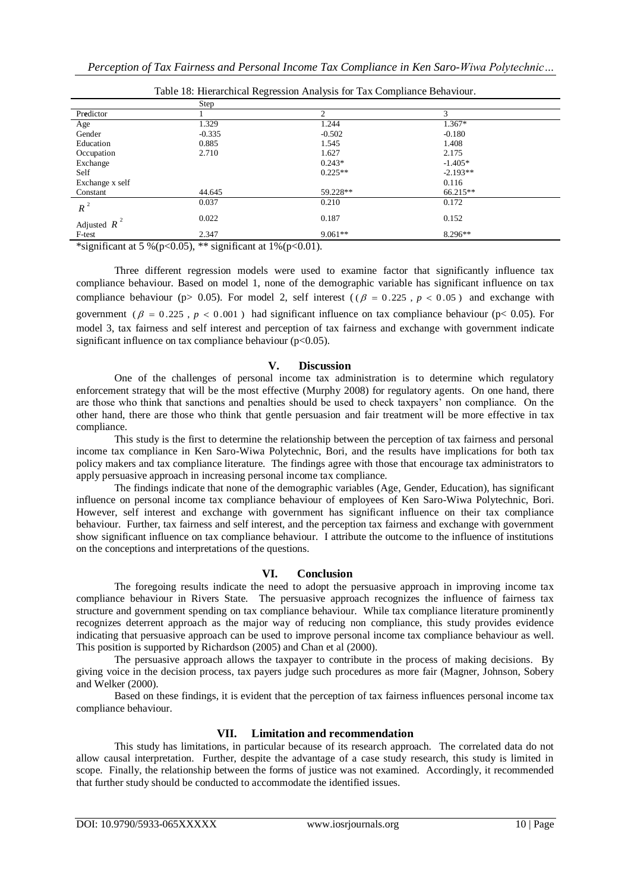|                 | ັ        | ╯<br>$\mathbf{r}$ |            |  |
|-----------------|----------|-------------------|------------|--|
|                 | Step     |                   |            |  |
| Predictor       |          | $\overline{c}$    | 3          |  |
| Age             | 1.329    | 1.244             | 1.367*     |  |
| Gender          | $-0.335$ | $-0.502$          | $-0.180$   |  |
| Education       | 0.885    | 1.545             | 1.408      |  |
| Occupation      | 2.710    | 1.627             | 2.175      |  |
| Exchange        |          | $0.243*$          | $-1.405*$  |  |
| Self            |          | $0.225**$         | $-2.193**$ |  |
| Exchange x self |          |                   | 0.116      |  |
| Constant        | 44.645   | 59.228**          | 66.215**   |  |
| $R^2$           | 0.037    | 0.210             | 0.172      |  |
| Adjusted $R^2$  | 0.022    | 0.187             | 0.152      |  |
| F-test          | 2.347    | $9.061**$         | $8.296**$  |  |

Table 18: Hierarchical Regression Analysis for Tax Compliance Behaviour.

\*significant at 5 %(p<0.05), \*\* significant at  $1\%$ (p<0.01).

Three different regression models were used to examine factor that significantly influence tax compliance behaviour. Based on model 1, none of the demographic variable has significant influence on tax compliance behaviour ( $p > 0.05$ ). For model 2, self interest ( $(\beta = 0.225, p < 0.05)$ ) and exchange with government ( $\beta = 0.225$ ,  $p < 0.001$ ) had significant influence on tax compliance behaviour (p< 0.05). For model 3, tax fairness and self interest and perception of tax fairness and exchange with government indicate significant influence on tax compliance behaviour  $(p<0.05)$ .

## **V. Discussion**

 One of the challenges of personal income tax administration is to determine which regulatory enforcement strategy that will be the most effective (Murphy 2008) for regulatory agents. On one hand, there are those who think that sanctions and penalties should be used to check taxpayers' non compliance. On the other hand, there are those who think that gentle persuasion and fair treatment will be more effective in tax compliance.

 This study is the first to determine the relationship between the perception of tax fairness and personal income tax compliance in Ken Saro-Wiwa Polytechnic, Bori, and the results have implications for both tax policy makers and tax compliance literature. The findings agree with those that encourage tax administrators to apply persuasive approach in increasing personal income tax compliance.

 The findings indicate that none of the demographic variables (Age, Gender, Education), has significant influence on personal income tax compliance behaviour of employees of Ken Saro-Wiwa Polytechnic, Bori. However, self interest and exchange with government has significant influence on their tax compliance behaviour. Further, tax fairness and self interest, and the perception tax fairness and exchange with government show significant influence on tax compliance behaviour. I attribute the outcome to the influence of institutions on the conceptions and interpretations of the questions.

#### **VI. Conclusion**

 The foregoing results indicate the need to adopt the persuasive approach in improving income tax compliance behaviour in Rivers State. The persuasive approach recognizes the influence of fairness tax structure and government spending on tax compliance behaviour. While tax compliance literature prominently recognizes deterrent approach as the major way of reducing non compliance, this study provides evidence indicating that persuasive approach can be used to improve personal income tax compliance behaviour as well. This position is supported by Richardson (2005) and Chan et al (2000).

 The persuasive approach allows the taxpayer to contribute in the process of making decisions. By giving voice in the decision process, tax payers judge such procedures as more fair (Magner, Johnson, Sobery and Welker (2000).

Based on these findings, it is evident that the perception of tax fairness influences personal income tax compliance behaviour.

#### **VII. Limitation and recommendation**

 This study has limitations, in particular because of its research approach. The correlated data do not allow causal interpretation. Further, despite the advantage of a case study research, this study is limited in scope. Finally, the relationship between the forms of justice was not examined. Accordingly, it recommended that further study should be conducted to accommodate the identified issues.